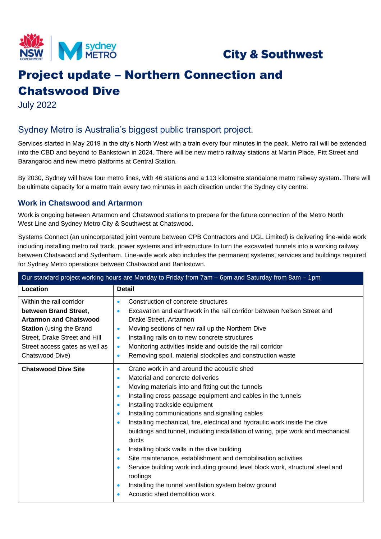

## **City & Southwest**

# Project update – Northern Connection and Chatswood Dive

July 2022

### Sydney Metro is Australia's biggest public transport project.

Services started in May 2019 in the city's North West with a train every four minutes in the peak. Metro rail will be extended into the CBD and beyond to Bankstown in 2024. There will be new metro railway stations at Martin Place, Pitt Street and Barangaroo and new metro platforms at Central Station.

By 2030, Sydney will have four metro lines, with 46 stations and a 113 kilometre standalone metro railway system. There will be ultimate capacity for a metro train every two minutes in each direction under the Sydney city centre.

#### **Work in Chatswood and Artarmon**

Work is ongoing between Artarmon and Chatswood stations to prepare for the future connection of the Metro North West Line and Sydney Metro City & Southwest at Chatswood.

Systems Connect (an unincorporated joint venture between CPB Contractors and UGL Limited) is delivering line-wide work including installing metro rail track, power systems and infrastructure to turn the excavated tunnels into a working railway between Chatswood and Sydenham. Line-wide work also includes the permanent systems, services and buildings required for Sydney Metro operations between Chatswood and Bankstown.

| Our standard project working hours are Monday to Friday from 7am – 6pm and Saturday from 8am – 1pm                                                                                                          |                                                                                                                                                                                                                                                                                                                                                                                                                                                                                                                                                                                                                                                                                                                                                                                                                                                                                                   |  |  |
|-------------------------------------------------------------------------------------------------------------------------------------------------------------------------------------------------------------|---------------------------------------------------------------------------------------------------------------------------------------------------------------------------------------------------------------------------------------------------------------------------------------------------------------------------------------------------------------------------------------------------------------------------------------------------------------------------------------------------------------------------------------------------------------------------------------------------------------------------------------------------------------------------------------------------------------------------------------------------------------------------------------------------------------------------------------------------------------------------------------------------|--|--|
| Location                                                                                                                                                                                                    | <b>Detail</b>                                                                                                                                                                                                                                                                                                                                                                                                                                                                                                                                                                                                                                                                                                                                                                                                                                                                                     |  |  |
| Within the rail corridor<br>between Brand Street,<br><b>Artarmon and Chatswood</b><br><b>Station</b> (using the Brand<br>Street, Drake Street and Hill<br>Street access gates as well as<br>Chatswood Dive) | Construction of concrete structures<br>$\bullet$<br>Excavation and earthwork in the rail corridor between Nelson Street and<br>$\bullet$<br>Drake Street, Artarmon<br>Moving sections of new rail up the Northern Dive<br>$\bullet$<br>Installing rails on to new concrete structures<br>$\bullet$<br>Monitoring activities inside and outside the rail corridor<br>$\bullet$<br>Removing spoil, material stockpiles and construction waste<br>$\bullet$                                                                                                                                                                                                                                                                                                                                                                                                                                          |  |  |
| <b>Chatswood Dive Site</b>                                                                                                                                                                                  | Crane work in and around the acoustic shed<br>$\bullet$<br>Material and concrete deliveries<br>$\bullet$<br>Moving materials into and fitting out the tunnels<br>$\bullet$<br>Installing cross passage equipment and cables in the tunnels<br>$\bullet$<br>Installing trackside equipment<br>$\bullet$<br>Installing communications and signalling cables<br>$\bullet$<br>Installing mechanical, fire, electrical and hydraulic work inside the dive<br>۰<br>buildings and tunnel, including installation of wiring, pipe work and mechanical<br>ducts<br>Installing block walls in the dive building<br>$\bullet$<br>Site maintenance, establishment and demobilisation activities<br>۰<br>Service building work including ground level block work, structural steel and<br>۰<br>roofings<br>Installing the tunnel ventilation system below ground<br>$\bullet$<br>Acoustic shed demolition work |  |  |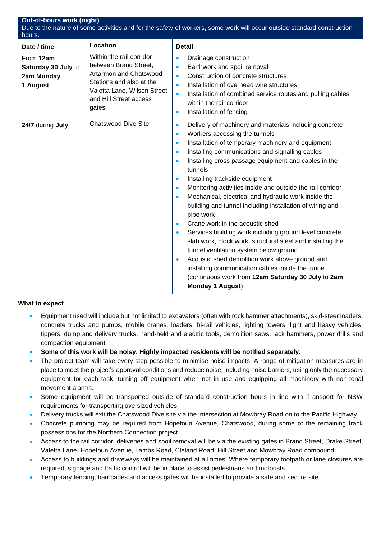| <b>Out-of-hours work (night)</b><br>Due to the nature of some activities and for the safety of workers, some work will occur outside standard construction<br>hours. |                                                                                                                                                                           |                                                                                                                                                                                                                                                                                                                                                                                                                                                                                                                                                                                                                                                                                                                                                                                                                                                                                                                                                                                                                                                 |  |
|----------------------------------------------------------------------------------------------------------------------------------------------------------------------|---------------------------------------------------------------------------------------------------------------------------------------------------------------------------|-------------------------------------------------------------------------------------------------------------------------------------------------------------------------------------------------------------------------------------------------------------------------------------------------------------------------------------------------------------------------------------------------------------------------------------------------------------------------------------------------------------------------------------------------------------------------------------------------------------------------------------------------------------------------------------------------------------------------------------------------------------------------------------------------------------------------------------------------------------------------------------------------------------------------------------------------------------------------------------------------------------------------------------------------|--|
| Date / time                                                                                                                                                          | Location                                                                                                                                                                  | <b>Detail</b>                                                                                                                                                                                                                                                                                                                                                                                                                                                                                                                                                                                                                                                                                                                                                                                                                                                                                                                                                                                                                                   |  |
| From 12am<br>Saturday 30 July to<br>2am Monday<br>1 August                                                                                                           | Within the rail corridor<br>between Brand Street,<br>Artarmon and Chatswood<br>Stations and also at the<br>Valetta Lane, Wilson Street<br>and Hill Street access<br>gates | Drainage construction<br>$\bullet$<br>Earthwork and spoil removal<br>$\bullet$<br>Construction of concrete structures<br>$\bullet$<br>Installation of overhead wire structures<br>$\bullet$<br>Installation of combined service routes and pulling cables<br>$\bullet$<br>within the rail corridor<br>Installation of fencing<br>$\bullet$                                                                                                                                                                                                                                                                                                                                                                                                                                                                                                                                                                                                                                                                                                      |  |
| 24/7 during July                                                                                                                                                     | <b>Chatswood Dive Site</b>                                                                                                                                                | Delivery of machinery and materials including concrete<br>$\bullet$<br>Workers accessing the tunnels<br>$\bullet$<br>Installation of temporary machinery and equipment<br>$\bullet$<br>Installing communications and signalling cables<br>$\bullet$<br>Installing cross passage equipment and cables in the<br>$\bullet$<br>tunnels<br>Installing trackside equipment<br>$\bullet$<br>Monitoring activities inside and outside the rail corridor<br>$\bullet$<br>Mechanical, electrical and hydraulic work inside the<br>$\bullet$<br>building and tunnel including installation of wiring and<br>pipe work<br>Crane work in the acoustic shed<br>$\bullet$<br>Services building work including ground level concrete<br>$\bullet$<br>slab work, block work, structural steel and installing the<br>tunnel ventilation system below ground<br>Acoustic shed demolition work above ground and<br>$\bullet$<br>installing communication cables inside the tunnel<br>(continuous work from 12am Saturday 30 July to 2am<br><b>Monday 1 August)</b> |  |

#### **What to expect**

- Equipment used will include but not limited to excavators (often with rock hammer attachments), skid-steer loaders, concrete trucks and pumps, mobile cranes, loaders, hi-rail vehicles, lighting towers, light and heavy vehicles, tippers, dump and delivery trucks, hand-held and electric tools, demolition saws, jack hammers, power drills and compaction equipment.
- **Some of this work will be noisy. Highly impacted residents will be notified separately.**
- The project team will take every step possible to minimise noise impacts. A range of mitigation measures are in place to meet the project's approval conditions and reduce noise, including noise barriers, using only the necessary equipment for each task, turning off equipment when not in use and equipping all machinery with non-tonal movement alarms.
- Some equipment will be transported outside of standard construction hours in line with Transport for NSW requirements for transporting oversized vehicles.
- Delivery trucks will exit the Chatswood Dive site via the intersection at Mowbray Road on to the Pacific Highway.
- Concrete pumping may be required from Hopetoun Avenue, Chatswood, during some of the remaining track possessions for the Northern Connection project.
- Access to the rail corridor, deliveries and spoil removal will be via the existing gates in Brand Street, Drake Street, Valetta Lane, Hopetoun Avenue, Lambs Road, Cleland Road, Hill Street and Mowbray Road compound.
- Access to buildings and driveways will be maintained at all times. Where temporary footpath or lane closures are required, signage and traffic control will be in place to assist pedestrians and motorists.
- Temporary fencing, barricades and access gates will be installed to provide a safe and secure site.